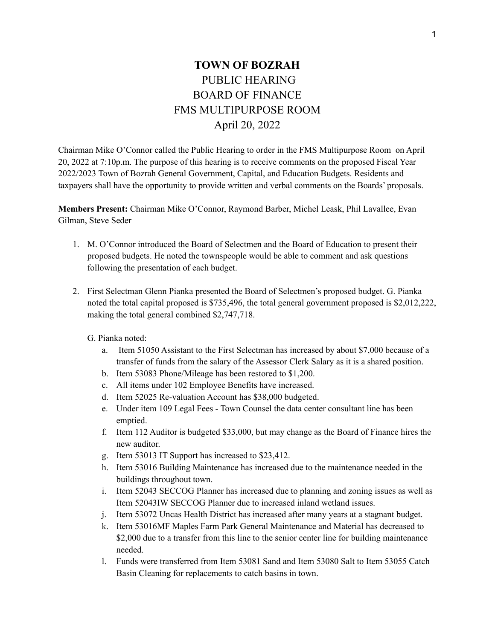## **TOWN OF BOZRAH** PUBLIC HEARING BOARD OF FINANCE FMS MULTIPURPOSE ROOM April 20, 2022

Chairman Mike O'Connor called the Public Hearing to order in the FMS Multipurpose Room on April 20, 2022 at 7:10p.m. The purpose of this hearing is to receive comments on the proposed Fiscal Year 2022/2023 Town of Bozrah General Government, Capital, and Education Budgets. Residents and taxpayers shall have the opportunity to provide written and verbal comments on the Boards' proposals.

**Members Present:** Chairman Mike O'Connor, Raymond Barber, Michel Leask, Phil Lavallee, Evan Gilman, Steve Seder

- 1. M. O'Connor introduced the Board of Selectmen and the Board of Education to present their proposed budgets. He noted the townspeople would be able to comment and ask questions following the presentation of each budget.
- 2. First Selectman Glenn Pianka presented the Board of Selectmen's proposed budget. G. Pianka noted the total capital proposed is \$735,496, the total general government proposed is \$2,012,222, making the total general combined \$2,747,718.
	- G. Pianka noted:
		- a. Item 51050 Assistant to the First Selectman has increased by about \$7,000 because of a transfer of funds from the salary of the Assessor Clerk Salary as it is a shared position.
		- b. Item 53083 Phone/Mileage has been restored to \$1,200.
		- c. All items under 102 Employee Benefits have increased.
		- d. Item 52025 Re-valuation Account has \$38,000 budgeted.
		- e. Under item 109 Legal Fees Town Counsel the data center consultant line has been emptied.
		- f. Item 112 Auditor is budgeted \$33,000, but may change as the Board of Finance hires the new auditor.
		- g. Item 53013 IT Support has increased to \$23,412.
		- h. Item 53016 Building Maintenance has increased due to the maintenance needed in the buildings throughout town.
		- i. Item 52043 SECCOG Planner has increased due to planning and zoning issues as well as Item 52043IW SECCOG Planner due to increased inland wetland issues.
		- j. Item 53072 Uncas Health District has increased after many years at a stagnant budget.
		- k. Item 53016MF Maples Farm Park General Maintenance and Material has decreased to \$2,000 due to a transfer from this line to the senior center line for building maintenance needed.
		- l. Funds were transferred from Item 53081 Sand and Item 53080 Salt to Item 53055 Catch Basin Cleaning for replacements to catch basins in town.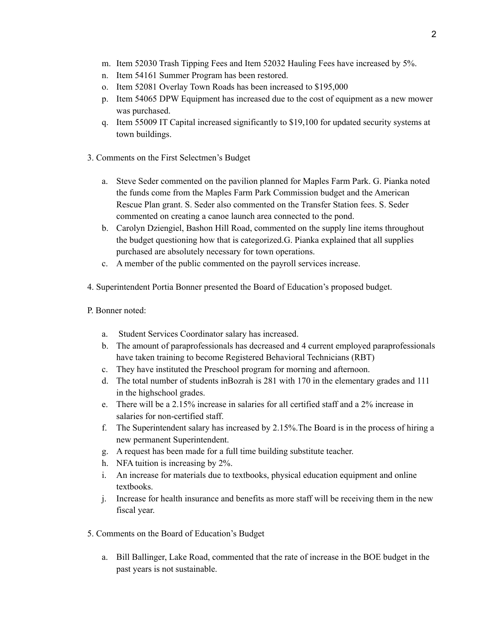- m. Item 52030 Trash Tipping Fees and Item 52032 Hauling Fees have increased by 5%.
- n. Item 54161 Summer Program has been restored.
- o. Item 52081 Overlay Town Roads has been increased to \$195,000
- p. Item 54065 DPW Equipment has increased due to the cost of equipment as a new mower was purchased.
- q. Item 55009 IT Capital increased significantly to \$19,100 for updated security systems at town buildings.
- 3. Comments on the First Selectmen's Budget
	- a. Steve Seder commented on the pavilion planned for Maples Farm Park. G. Pianka noted the funds come from the Maples Farm Park Commission budget and the American Rescue Plan grant. S. Seder also commented on the Transfer Station fees. S. Seder commented on creating a canoe launch area connected to the pond.
	- b. Carolyn Dziengiel, Bashon Hill Road, commented on the supply line items throughout the budget questioning how that is categorized.G. Pianka explained that all supplies purchased are absolutely necessary for town operations.
	- c. A member of the public commented on the payroll services increase.
- 4. Superintendent Portia Bonner presented the Board of Education's proposed budget.
- P. Bonner noted:
	- a. Student Services Coordinator salary has increased.
	- b. The amount of paraprofessionals has decreased and 4 current employed paraprofessionals have taken training to become Registered Behavioral Technicians (RBT)
	- c. They have instituted the Preschool program for morning and afternoon.
	- d. The total number of students inBozrah is 281 with 170 in the elementary grades and 111 in the highschool grades.
	- e. There will be a 2.15% increase in salaries for all certified staff and a 2% increase in salaries for non-certified staff.
	- f. The Superintendent salary has increased by 2.15%.The Board is in the process of hiring a new permanent Superintendent.
	- g. A request has been made for a full time building substitute teacher.
	- h. NFA tuition is increasing by 2%.
	- i. An increase for materials due to textbooks, physical education equipment and online textbooks.
	- j. Increase for health insurance and benefits as more staff will be receiving them in the new fiscal year.
- 5. Comments on the Board of Education's Budget
	- a. Bill Ballinger, Lake Road, commented that the rate of increase in the BOE budget in the past years is not sustainable.